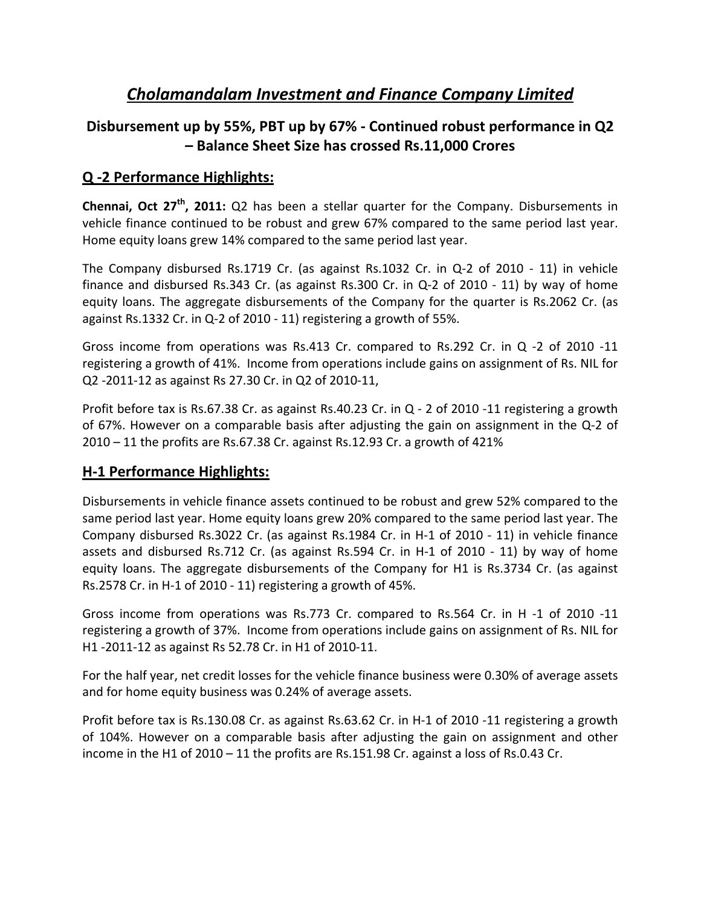# *Cholamandalam Investment and Finance Company Limited*

# **Disbursement up by 55%, PBT up by 67% ‐ Continued robust performance in Q2 – Balance Sheet Size has crossed Rs.11,000 Crores**

### **Q ‐2 Performance Highlights:**

**Chennai, Oct 27th, 2011:** Q2 has been a stellar quarter for the Company. Disbursements in vehicle finance continued to be robust and grew 67% compared to the same period last year. Home equity loans grew 14% compared to the same period last year.

The Company disbursed Rs.1719 Cr. (as against Rs.1032 Cr. in Q-2 of 2010 - 11) in vehicle finance and disbursed Rs.343 Cr. (as against Rs.300 Cr. in Q-2 of 2010 - 11) by way of home equity loans. The aggregate disbursements of the Company for the quarter is Rs.2062 Cr. (as against Rs.1332 Cr. in Q‐2 of 2010 ‐ 11) registering a growth of 55%.

Gross income from operations was Rs.413 Cr. compared to Rs.292 Cr. in Q ‐2 of 2010 ‐11 registering a growth of 41%. Income from operations include gains on assignment of Rs. NIL for Q2 ‐2011‐12 as against Rs 27.30 Cr. in Q2 of 2010‐11,

Profit before tax is Rs.67.38 Cr. as against Rs.40.23 Cr. in Q - 2 of 2010 -11 registering a growth of 67%. However on a comparable basis after adjusting the gain on assignment in the Q‐2 of 2010 – 11 the profits are Rs.67.38 Cr. against Rs.12.93 Cr. a growth of 421%

#### **H‐1 Performance Highlights:**

Disbursements in vehicle finance assets continued to be robust and grew 52% compared to the same period last year. Home equity loans grew 20% compared to the same period last year. The Company disbursed Rs.3022 Cr. (as against Rs.1984 Cr. in H‐1 of 2010 ‐ 11) in vehicle finance assets and disbursed Rs.712 Cr. (as against Rs.594 Cr. in H-1 of 2010 - 11) by way of home equity loans. The aggregate disbursements of the Company for H1 is Rs.3734 Cr. (as against Rs.2578 Cr. in H‐1 of 2010 ‐ 11) registering a growth of 45%.

Gross income from operations was Rs.773 Cr. compared to Rs.564 Cr. in H ‐1 of 2010 ‐11 registering a growth of 37%. Income from operations include gains on assignment of Rs. NIL for H1 ‐2011‐12 as against Rs 52.78 Cr. in H1 of 2010‐11.

For the half year, net credit losses for the vehicle finance business were 0.30% of average assets and for home equity business was 0.24% of average assets.

Profit before tax is Rs.130.08 Cr. as against Rs.63.62 Cr. in H‐1 of 2010 ‐11 registering a growth of 104%. However on a comparable basis after adjusting the gain on assignment and other income in the H1 of 2010 – 11 the profits are Rs.151.98 Cr. against a loss of Rs.0.43 Cr.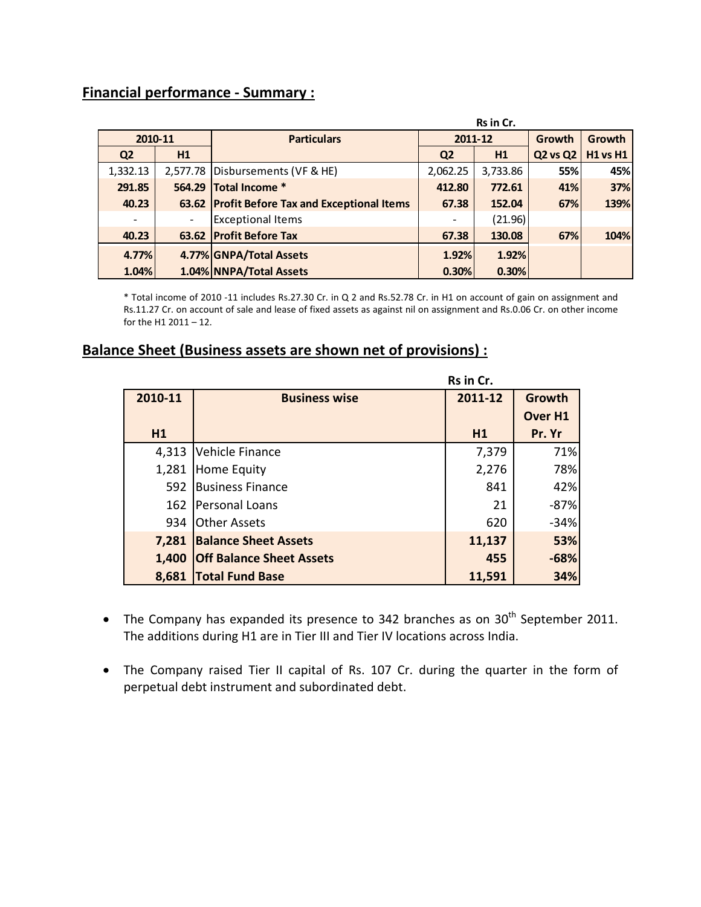### **Financial performance ‐ Summary :**

|                          |                          |                                               | Rs in Cr.      |          |                 |                 |
|--------------------------|--------------------------|-----------------------------------------------|----------------|----------|-----------------|-----------------|
| 2010-11                  |                          | <b>Particulars</b>                            | 2011-12        |          | Growth          | <b>Growth</b>   |
| Q <sub>2</sub>           | H1                       |                                               | Q <sub>2</sub> | H1       | <b>Q2 vs Q2</b> | <b>H1 vs H1</b> |
| 1,332.13                 |                          | 2,577.78 Disbursements (VF & HE)              | 2,062.25       | 3,733.86 | 55%             | 45%             |
| 291.85                   |                          | 564.29 Total Income *                         | 412.80         | 772.61   | 41%             | 37%             |
| 40.23                    |                          | 63.62 Profit Before Tax and Exceptional Items | 67.38          | 152.04   | 67%             | 139%            |
| $\overline{\phantom{0}}$ | $\overline{\phantom{0}}$ | <b>Exceptional Items</b>                      |                | (21.96)  |                 |                 |
| 40.23                    |                          | 63.62 Profit Before Tax                       | 67.38          | 130.08   | 67%             | 104%            |
| 4.77%                    |                          | 4.77% GNPA/Total Assets                       | 1.92%          | 1.92%    |                 |                 |
| 1.04%                    |                          | 1.04% NNPA/Total Assets                       | 0.30%          | 0.30%    |                 |                 |

\* Total income of 2010 ‐11 includes Rs.27.30 Cr. in Q 2 and Rs.52.78 Cr. in H1 on account of gain on assignment and Rs.11.27 Cr. on account of sale and lease of fixed assets as against nil on assignment and Rs.0.06 Cr. on other income for the H1 2011 – 12.

## **Balance Sheet (Business assets are shown net of provisions) :**

|         |                                 | Rs in Cr. |                |  |  |
|---------|---------------------------------|-----------|----------------|--|--|
| 2010-11 | <b>Business wise</b>            | 2011-12   | Growth         |  |  |
|         |                                 |           | <b>Over H1</b> |  |  |
| H1      |                                 | H1        | Pr. Yr         |  |  |
| 4,313   | Vehicle Finance                 | 7,379     | 71%            |  |  |
| 1,281   | Home Equity                     | 2,276     | 78%            |  |  |
| 592     | <b>Business Finance</b>         | 841       | 42%            |  |  |
| 162     | Personal Loans                  | 21        | $-87%$         |  |  |
| 934     | <b>Other Assets</b>             | 620       | $-34%$         |  |  |
| 7,281   | <b>Balance Sheet Assets</b>     | 11,137    | 53%            |  |  |
| 1,400   | <b>Off Balance Sheet Assets</b> | 455       | $-68%$         |  |  |
| 8,681   | <b>Total Fund Base</b>          | 11,591    | 34%            |  |  |

- The Company has expanded its presence to 342 branches as on  $30<sup>th</sup>$  September 2011. The additions during H1 are in Tier III and Tier IV locations across India.
- The Company raised Tier II capital of Rs. 107 Cr. during the quarter in the form of perpetual debt instrument and subordinated debt.